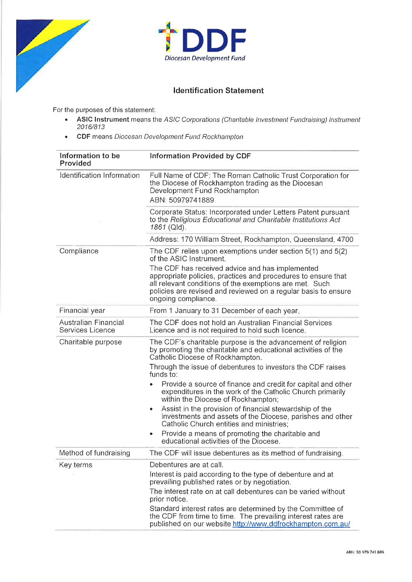



## **Identification Statement**

For the purposes of this statement:

- . ASIC lnstrument means the ASiC Corporations (Charitable lnvestment Fundraising) lnstrument 2016/813
- . CDF means Diocesan Development Fund Rockhampton

| Information to be<br>Provided            | <b>Information Provided by CDF</b>                                                                                                                                                                                                                                   |
|------------------------------------------|----------------------------------------------------------------------------------------------------------------------------------------------------------------------------------------------------------------------------------------------------------------------|
| Identification Information               | Full Name of CDF: The Roman Catholic Trust Corporation for<br>the Diocese of Rockhampton trading as the Diocesan<br>Development Fund Rockhampton<br>ABN: 50979741889                                                                                                 |
|                                          | Corporate Status: Incorporated under Letters Patent pursuant<br>to the Religious Educational and Charitable Institutions Act<br>1861 (Qld).                                                                                                                          |
|                                          | Address: 170 William Street, Rockhampton, Queensland, 4700                                                                                                                                                                                                           |
| Compliance                               | The CDF relies upon exemptions under section 5(1) and 5(2)<br>of the ASIC Instrument.                                                                                                                                                                                |
|                                          | The CDF has received advice and has implemented<br>appropriate policies, practices and procedures to ensure that<br>all relevant conditions of the exemptions are met. Such<br>policies are revised and reviewed on a regular basis to ensure<br>ongoing compliance. |
| Financial year                           | From 1 January to 31 December of each year.                                                                                                                                                                                                                          |
| Australian Financial<br>Services Licence | The CDF does not hold an Australian Financial Services<br>Licence and is not required to hold such licence.                                                                                                                                                          |
| Charitable purpose                       | The CDF's charitable purpose is the advancement of religion<br>by promoting the charitable and educational activities of the<br>Catholic Diocese of Rockhampton.                                                                                                     |
|                                          | Through the issue of debentures to investors the CDF raises<br>funds to:                                                                                                                                                                                             |
|                                          | Provide a source of finance and credit for capital and other<br>expenditures in the work of the Catholic Church primarily<br>within the Diocese of Rockhampton;                                                                                                      |
|                                          | Assist in the provision of financial stewardship of the<br>٠<br>investments and assets of the Diocese, parishes and other<br>Catholic Church entities and ministries:                                                                                                |
|                                          | Provide a means of promoting the charitable and<br>٠<br>educational activities of the Diocese.                                                                                                                                                                       |
| Method of fundraising                    | The CDF will issue debentures as its method of fundraising.                                                                                                                                                                                                          |
| Key terms                                | Debentures are at call.                                                                                                                                                                                                                                              |
|                                          | Interest is paid according to the type of debenture and at<br>prevailing published rates or by negotiation.                                                                                                                                                          |
|                                          | The interest rate on at call debentures can be varied without<br>prior notice.                                                                                                                                                                                       |
|                                          | Standard interest rates are determined by the Committee of<br>the CDF from time to time. The prevailing interest rates are<br>published on our website http://www.ddfrockhampton.com.au/                                                                             |